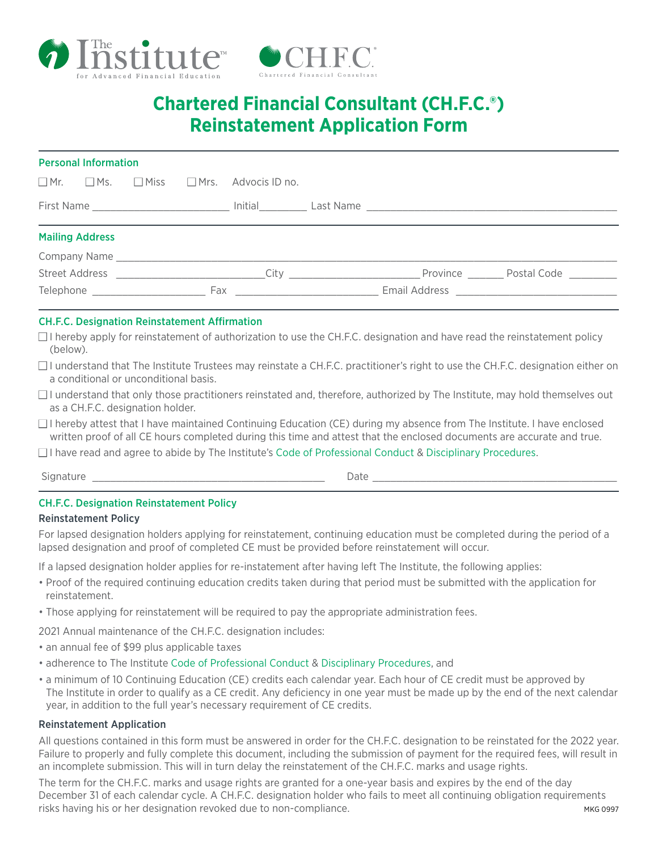



# **[Chartered Financial Consultant \(CH.F.C.®\)](https://iafe.ca/compliance/code-of-conduct/)  Reinstatement Application Form**

| <b>Personal Information</b> |  |                                                                                                                                                                                                                                |  |                                                                                                                 |  |  |                                                                                                                           |  |  |  |
|-----------------------------|--|--------------------------------------------------------------------------------------------------------------------------------------------------------------------------------------------------------------------------------|--|-----------------------------------------------------------------------------------------------------------------|--|--|---------------------------------------------------------------------------------------------------------------------------|--|--|--|
|                             |  |                                                                                                                                                                                                                                |  | $\Box$ Mr. $\Box$ Ms. $\Box$ Miss $\Box$ Mrs. Advocis ID no.                                                    |  |  |                                                                                                                           |  |  |  |
|                             |  |                                                                                                                                                                                                                                |  |                                                                                                                 |  |  |                                                                                                                           |  |  |  |
| <b>Mailing Address</b>      |  |                                                                                                                                                                                                                                |  |                                                                                                                 |  |  |                                                                                                                           |  |  |  |
|                             |  |                                                                                                                                                                                                                                |  |                                                                                                                 |  |  |                                                                                                                           |  |  |  |
|                             |  |                                                                                                                                                                                                                                |  |                                                                                                                 |  |  | Street Address <b>Street Address Street Address Street Address City City City City City Constant Province Postal Code</b> |  |  |  |
|                             |  | Telephone experience and the state of the state of the state of the state of the state of the state of the state of the state of the state of the state of the state of the state of the state of the state of the state of th |  | Fax extends the contract of the contract of the contract of the contract of the contract of the contract of the |  |  |                                                                                                                           |  |  |  |

#### CH.F.C. Designation Reinstatement Affirmation

- □ I hereby apply for reinstatement of authorization to use the CH.F.C. designation and have read the reinstatement policy (below).
- $\Box$  I understand that The Institute Trustees may reinstate a CH.F.C. practitioner's right to use the CH.F.C. designation either on a conditional or unconditional basis.
- $\Box$  I understand that only those practitioners reinstated and, therefore, authorized by The Institute, may hold themselves out as a CH.F.C. designation holder.
- $\Box$  I hereby attest that I have maintained Continuing Education (CE) during my absence from The Institute. I have enclosed written proof of all CE hours completed during this time and attest that the enclosed documents are accurate and true.
- $\Box$  I have read and agree to abide by The Institute's [Code of Professional Conduct](https://iafe.ca/compliance/code-of-conduct/) & [Disciplinary Procedures.](https://iafe.ca/compliance/disciplinary-process/)

Signature \_\_\_\_\_\_\_\_\_\_\_\_\_\_\_\_\_\_\_\_\_\_\_\_\_\_\_\_\_\_\_\_\_\_\_\_\_\_\_ Date \_\_\_\_\_\_\_\_\_\_\_\_\_\_\_\_\_\_\_\_\_\_\_\_\_\_\_\_\_\_\_\_\_\_\_\_\_\_\_\_\_

## CH.F.C. Designation Reinstatement Policy

#### Reinstatement Policy

For lapsed designation holders applying for reinstatement, continuing education must be completed during the period of a lapsed designation and proof of completed CE must be provided before reinstatement will occur.

If a lapsed designation holder applies for re-instatement after having left The Institute, the following applies:

- Proof of the required continuing education credits taken during that period must be submitted with the application for reinstatement.
- Those applying for reinstatement will be required to pay the appropriate administration fees.

2021 Annual maintenance of the CH.F.C. designation includes:

- an annual fee of \$99 plus applicable taxes
- adherence to The Institute [Code of Professional Conduct](https://iafe.ca/compliance/code-of-conduct/) & [Disciplinary Procedures](https://iafe.ca/compliance/disciplinary-process/), and
- a minimum of 10 Continuing Education (CE) credits each calendar year. Each hour of CE credit must be approved by The Institute in order to qualify as a CE credit. Any deficiency in one year must be made up by the end of the next calendar year, in addition to the full year's necessary requirement of CE credits.

## Reinstatement Application

All questions contained in this form must be answered in order for the CH.F.C. designation to be reinstated for the 2022 year. Failure to properly and fully complete this document, including the submission of payment for the required fees, will result in an incomplete submission. This will in turn delay the reinstatement of the CH.F.C. marks and usage rights.

The term for the CH.F.C. marks and usage rights are granted for a one-year basis and expires by the end of the day December 31 of each calendar cycle. A CH.F.C. designation holder who fails to meet all continuing obligation requirements risks having his or her designation revoked due to non-compliance. The matrix of the matrix of the matrix of the matrix of the matrix of the matrix of the matrix of the matrix of the matrix of the matrix of the matrix of t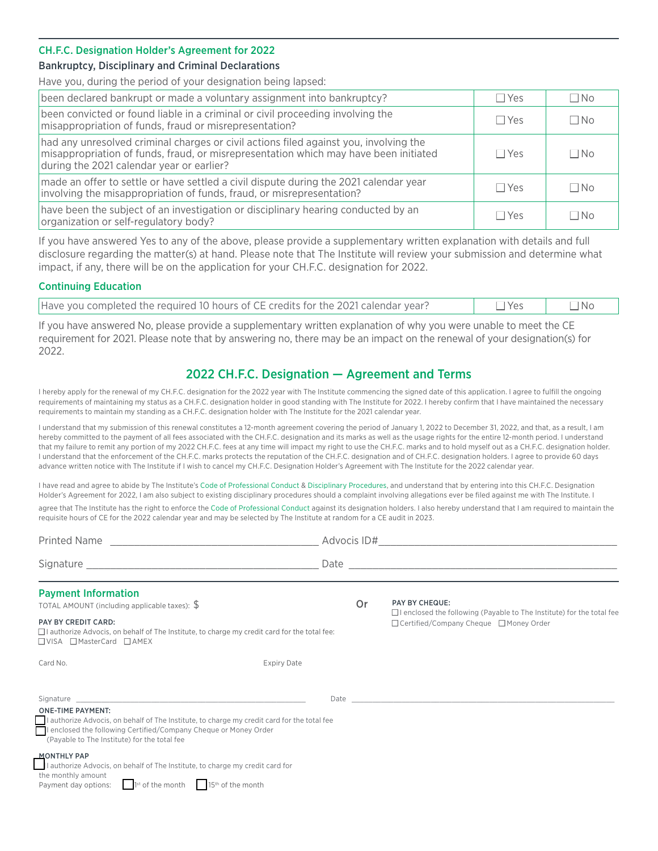#### CH.F.C. Designation Holder's Agreement for 2022

#### Bankruptcy, Disciplinary and Criminal Declarations

Have you, during the period of your designation being lapsed:

| been declared bankrupt or made a voluntary assignment into bankruptcy?                                                                                                                                                     | $\Box$ Yes | $\Box$ No |
|----------------------------------------------------------------------------------------------------------------------------------------------------------------------------------------------------------------------------|------------|-----------|
| been convicted or found liable in a criminal or civil proceeding involving the<br>misappropriation of funds, fraud or misrepresentation?                                                                                   | $\Box$ Yes | $\Box$ No |
| had any unresolved criminal charges or civil actions filed against you, involving the<br>misappropriation of funds, fraud, or misrepresentation which may have been initiated<br>during the 2021 calendar year or earlier? | $\Box$ Yes | ∩No       |
| made an offer to settle or have settled a civil dispute during the 2021 calendar year<br>involving the misappropriation of funds, fraud, or misrepresentation?                                                             | $\Box$ Yes | $\Box$ No |
| have been the subject of an investigation or disciplinary hearing conducted by an<br>organization or self-regulatory body?                                                                                                 | $\Box$ Yes | ∩N∩       |

If you have answered Yes to any of the above, please provide a supplementary written explanation with details and full disclosure regarding the matter(s) at hand. Please note that The Institute will review your submission and determine what impact, if any, there will be on the application for your CH.F.C. designation for 2022.

#### Continuing Education

| Have you completed the required 10 hours of CE credits for the 2021 calendar year? | □Yes | $\neg$ No |
|------------------------------------------------------------------------------------|------|-----------|
|                                                                                    |      |           |

If you have answered No, please provide a supplementary written explanation of why you were unable to meet the CE requirement for 2021. Please note that by answering no, there may be an impact on the renewal of your designation(s) for 2022.

# 2022 CH.F.C. Designation — Agreement and Terms

I hereby apply for the renewal of my CH.F.C. designation for the 2022 year with The Institute commencing the signed date of this application. I agree to fulfill the ongoing requirements of maintaining my status as a CH.F.C. designation holder in good standing with The Institute for 2022. I hereby confirm that I have maintained the necessary requirements to maintain my standing as a CH.F.C. designation holder with The Institute for the 2021 calendar year.

I understand that my submission of this renewal constitutes a 12-month agreement covering the period of January 1, 2022 to December 31, 2022, and that, as a result, I am hereby committed to the payment of all fees associated with the CH.F.C. designation and its marks as well as the usage rights for the entire 12-month period. I understand that my failure to remit any portion of my 2022 CH.F.C. fees at any time will impact my right to use the CH.F.C. marks and to hold myself out as a CH.F.C. designation holder. I understand that the enforcement of the CH.F.C. marks protects the reputation of the CH.F.C. designation and of CH.F.C. designation holders. I agree to provide 60 days advance written notice with The Institute if I wish to cancel my CH.F.C. Designation Holder's Agreement with The Institute for the 2022 calendar year.

I have read and agree to abide by The Institute's [Code of Professional Conduct](https://iafe.ca/compliance/code-of-conduct/) & [Disciplinary Procedures](https://iafe.ca/compliance/disciplinary-process/), and understand that by entering into this CH.F.C. Designation Holder's Agreement for 2022, I am also subject to existing disciplinary procedures should a complaint involving allegations ever be filed against me with The Institute. I agree that The Institute has the right to enforce the [Code of Professional Conduct](https://iafe.ca/compliance/code-of-conduct/) against its designation holders. I also hereby understand that I am required to maintain the requisite hours of CE for the 2022 calendar year and may be selected by The Institute at random for a CE audit in 2023.

| <b>Payment Information</b><br>TOTAL AMOUNT (including applicable taxes): $\frac{6}{3}$<br><b>PAY BY CREDIT CARD:</b><br>$\Box$ authorize Advocis, on behalf of The Institute, to charge my credit card for the total fee:<br>□VISA □ MasterCard □ AMEX | 0r                 | <b>PAY BY CHEQUE:</b><br>$\Box$ I enclosed the following (Payable to The Institute) for the total fee<br>□ Certified/Company Cheque □ Money Order |  |  |
|--------------------------------------------------------------------------------------------------------------------------------------------------------------------------------------------------------------------------------------------------------|--------------------|---------------------------------------------------------------------------------------------------------------------------------------------------|--|--|
| Card No.                                                                                                                                                                                                                                               | <b>Expiry Date</b> |                                                                                                                                                   |  |  |
| <b>ONE-TIME PAYMENT:</b><br>I authorize Advocis, on behalf of The Institute, to charge my credit card for the total fee<br>I enclosed the following Certified/Company Cheque or Money Order<br>(Payable to The Institute) for the total fee            |                    |                                                                                                                                                   |  |  |
| <b>MONTHLY PAP</b><br>I authorize Advocis, on behalf of The Institute, to charge my credit card for<br>the monthly amount<br>$1st$ of the month $1st$ of the month<br>Payment day options:                                                             |                    |                                                                                                                                                   |  |  |